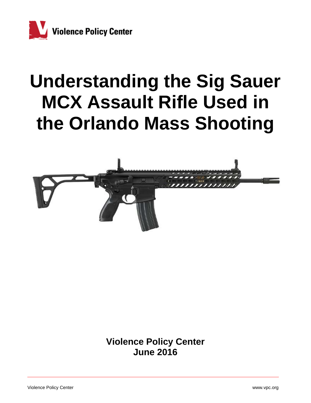

# **Understanding the Sig Sauer MCX Assault Rifle Used in the Orlando Mass Shooting**



**Violence Policy Center June 2016**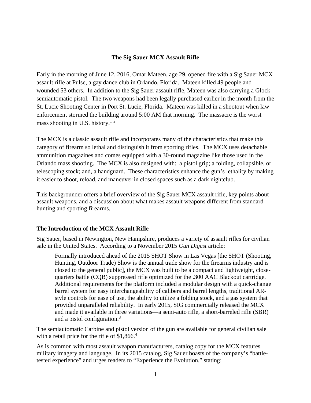#### **The Sig Sauer MCX Assault Rifle**

Early in the morning of June 12, 2016, Omar Mateen, age 29, opened fire with a Sig Sauer MCX assault rifle at Pulse, a gay dance club in Orlando, Florida. Mateen killed 49 people and wounded 53 others. In addition to the Sig Sauer assault rifle, Mateen was also carrying a Glock semiautomatic pistol. The two weapons had been legally purchased earlier in the month from the St. Lucie Shooting Center in Port St. Lucie, Florida. Mateen was killed in a shootout when law enforcement stormed the building around 5:00 AM that morning. The massacre is the worst mass shooting in U.S. history.<sup>12</sup>

The MCX is a classic assault rifle and incorporates many of the characteristics that make this category of firearm so lethal and distinguish it from sporting rifles. The MCX uses detachable ammunition magazines and comes equipped with a 30-round magazine like those used in the Orlando mass shooting. The MCX is also designed with: a pistol grip; a folding, collapsible, or telescoping stock; and, a handguard. These characteristics enhance the gun's lethality by making it easier to shoot, reload, and maneuver in closed spaces such as a dark nightclub.

This backgrounder offers a brief overview of the Sig Sauer MCX assault rifle, key points about assault weapons, and a discussion about what makes assault weapons different from standard hunting and sporting firearms.

# **The Introduction of the MCX Assault Rifle**

Sig Sauer, based in Newington, New Hampshire, produces a variety of assault rifles for civilian sale in the United States. According to a November 2015 *Gun Digest* article:

Formally introduced ahead of the 2015 SHOT Show in Las Vegas [the SHOT (Shooting, Hunting, Outdoor Trade) Show is the annual trade show for the firearms industry and is closed to the general public], the MCX was built to be a compact and lightweight, closequarters battle (CQB) suppressed rifle optimized for the .300 AAC Blackout cartridge. Additional requirements for the platform included a modular design with a quick-change barrel system for easy interchangeability of calibers and barrel lengths, traditional ARstyle controls for ease of use, the ability to utilize a folding stock, and a gas system that provided unparalleled reliability. In early 2015, SIG commercially released the MCX and made it available in three variations—a semi-auto rifle, a short-barreled rifle (SBR) and a pistol configuration.<sup>3</sup>

The semiautomatic Carbine and pistol version of the gun are available for general civilian sale with a retail price for the rifle of  $$1,866<sup>4</sup>$ 

As is common with most assault weapon manufacturers, catalog copy for the MCX features military imagery and language. In its 2015 catalog, Sig Sauer boasts of the company's "battletested experience" and urges readers to "Experience the Evolution," stating: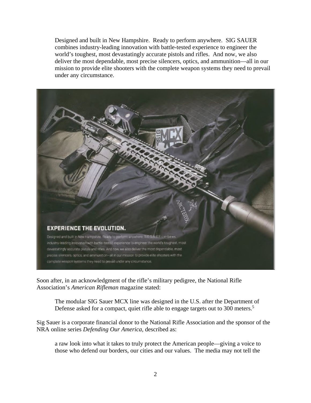Designed and built in New Hampshire. Ready to perform anywhere. SIG SAUER combines industry-leading innovation with battle-tested experience to engineer the world's toughest, most devastatingly accurate pistols and rifles. And now, we also deliver the most dependable, most precise silencers, optics, and ammunition—all in our mission to provide elite shooters with the complete weapon systems they need to prevail under any circumstance.



Soon after, in an acknowledgment of the rifle's military pedigree, the National Rifle Association's *American Rifleman* magazine stated:

The modular SIG Sauer MCX line was designed in the U.S. after the Department of Defense asked for a compact, quiet rifle able to engage targets out to 300 meters.<sup>5</sup>

Sig Sauer is a corporate financial donor to the National Rifle Association and the sponsor of the NRA online series *Defending Our America*, described as:

a raw look into what it takes to truly protect the American people—giving a voice to those who defend our borders, our cities and our values. The media may not tell the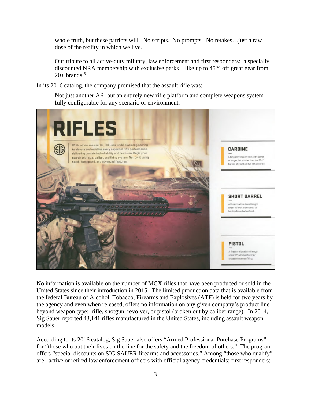whole truth, but these patriots will. No scripts. No prompts. No retakes…just a raw dose of the reality in which we live.

Our tribute to all active-duty military, law enforcement and first responders: a specially discounted NRA membership with exclusive perks—like up to 45% off great gear from  $20+$  brands.<sup>6</sup>

In its 2016 catalog, the company promised that the assault rifle was:

Not just another AR, but an entirely new rifle platform and complete weapons system fully configurable for any scenario or environment.



No information is available on the number of MCX rifles that have been produced or sold in the United States since their introduction in 2015. The limited production data that is available from the federal Bureau of Alcohol, Tobacco, Firearms and Explosives (ATF) is held for two years by the agency and even when released, offers no information on any given company's product line beyond weapon type: rifle, shotgun, revolver, or pistol (broken out by caliber range). In 2014, Sig Sauer reported 43,141 rifles manufactured in the United States, including assault weapon models.

According to its 2016 catalog, Sig Sauer also offers "Armed Professional Purchase Programs" for "those who put their lives on the line for the safety and the freedom of others." The program offers "special discounts on SIG SAUER firearms and accessories." Among "those who qualify" are: active or retired law enforcement officers with official agency credentials; first responders;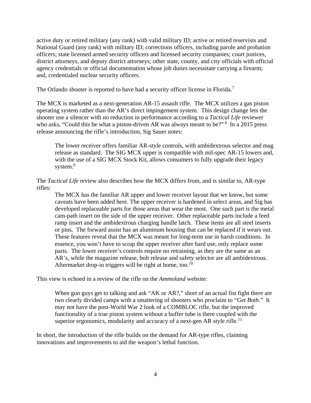active duty or retired military (any rank) with valid military ID; active or retired reservists and National Guard (any rank) with military ID; corrections officers, including parole and probation officers; state licensed armed security officers and licensed security companies; court justices, district attorneys, and deputy district attorneys; other state, county, and city officials with official agency credentials or official documentation whose job duties necessitate carrying a firearm; and, credentialed nuclear security officers.

The Orlando shooter is reported to have had a security officer license in Florida.<sup>7</sup>

The MCX is marketed as a next-generation AR-15 assault rifle. The MCX utilizes a gas piston operating system rather than the AR's direct impingement system. This design change lets the shooter use a silencer with no reduction in performance according to a *Tactical Life* reviewer who asks, "Could this be what a piston-driven AR was always meant to be?"<sup>8</sup> In a 2015 press release announcing the rifle's introduction, Sig Sauer notes:

The lower receiver offers familiar AR-style controls, with ambidextrous selector and mag release as standard. The SIG MCX upper is compatible with mil-spec AR-15 lowers and, with the use of a SIG MCX Stock Kit, allows consumers to fully upgrade their legacy system.<sup>9</sup>

The *Tactical Life* review also describes how the MCX differs from, and is similar to, AR-type rifles:

The MCX has the familiar AR upper and lower receiver layout that we know, but some caveats have been added here. The upper receiver is hardened in select areas, and Sig has developed replaceable parts for those areas that wear the most. One such part is the metal cam-path insert on the side of the upper receiver. Other replaceable parts include a feed ramp insert and the ambidextrous charging handle latch. These items are all steel inserts or pins. The forward assist has an aluminum housing that can be replaced if it wears out. These features reveal that the MCX was meant for long-term use in harsh conditions. In essence, you won't have to scrap the upper receiver after hard use, only replace some parts. The lower receiver's controls require no retraining, as they are the same as an AR's, while the magazine release, bolt release and safety selector are all ambidextrous. Aftermarket drop-in triggers will be right at home, too.<sup>10</sup>

This view is echoed in a review of the rifle on the *Ammoland* website:

When gun guys get to talking and ask "AK or AR?," short of an actual fist fight there are two clearly divided camps with a smattering of shooters who proclaim to "*Get Both*." It may not have the post-World War 2 look of a COMBLOC rifle, but the improved functionality of a true piston system without a buffer tube is there coupled with the superior ergonomics, modularity and accuracy of a next-gen AR style rifle.<sup>11</sup>

In short, the introduction of the rifle builds on the demand for AR-type rifles, claiming innovations and improvements to aid the weapon's lethal function.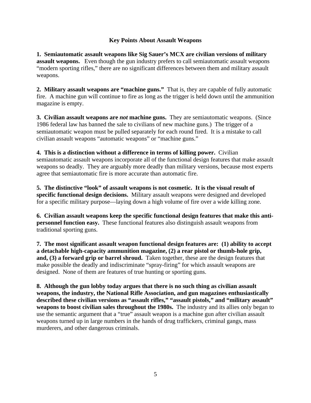## **Key Points About Assault Weapons**

**1. Semiautomatic assault weapons like Sig Sauer's MCX are civilian versions of military assault weapons.** Even though the gun industry prefers to call semiautomatic assault weapons "modern sporting rifles," there are no significant differences between them and military assault weapons.

**2. Military assault weapons are "machine guns."** That is, they are capable of fully automatic fire. A machine gun will continue to fire as long as the trigger is held down until the ammunition magazine is empty.

**3. Civilian assault weapons are** *not* **machine guns.** They are semiautomatic weapons. (Since 1986 federal law has banned the sale to civilians of new machine guns.) The trigger of a semiautomatic weapon must be pulled separately for each round fired. It is a mistake to call civilian assault weapons "automatic weapons" or "machine guns."

**4. This is a distinction without a difference in terms of killing power.** Civilian semiautomatic assault weapons incorporate all of the functional design features that make assault weapons so deadly. They are arguably more deadly than military versions, because most experts agree that semiautomatic fire is more accurate than automatic fire.

**5. The distinctive "look" of assault weapons is not cosmetic. It is the visual result of specific functional design decisions.** Military assault weapons were designed and developed for a specific military purpose—laying down a high volume of fire over a wide killing zone*.* 

**6. Civilian assault weapons keep the specific functional design features that make this antipersonnel function easy.** These functional features also distinguish assault weapons from traditional sporting guns.

**7. The most significant assault weapon functional design features are: (1) ability to accept a detachable high-capacity ammunition magazine, (2) a rear pistol or thumb-hole grip, and, (3) a forward grip or barrel shroud.** Taken together, these are the design features that make possible the deadly and indiscriminate "spray-firing" for which assault weapons are designed. None of them are features of true hunting or sporting guns.

**8. Although the gun lobby today argues that there is no such thing as civilian assault weapons, the industry, the National Rifle Association, and gun magazines enthusiastically described these civilian versions as "assault rifles," "assault pistols," and "military assault" weapons to boost civilian sales throughout the 1980s.** The industry and its allies only began to use the semantic argument that a "true" assault weapon is a machine gun after civilian assault weapons turned up in large numbers in the hands of drug traffickers, criminal gangs, mass murderers, and other dangerous criminals.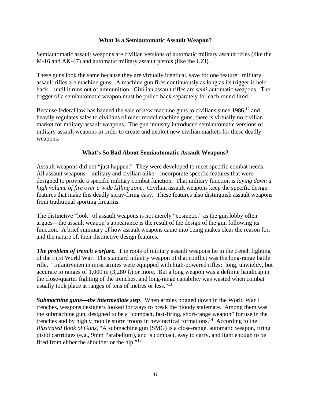#### **What Is a Semiautomatic Assault Weapon?**

Semiautomatic assault weapons are civilian versions of automatic military assault rifles (like the M-16 and AK-47) and automatic military assault pistols (like the UZI).

These guns look the same because they are virtually identical, save for one feature: military assault rifles are machine guns. A machine gun fires continuously as long as its trigger is held back—until it runs out of ammunition. Civilian assault rifles are *semi*-automatic weapons. The trigger of a semiautomatic weapon must be pulled back separately for each round fired.

Because federal law has banned the sale of new machine guns to civilians since 1986,<sup>12</sup> and heavily regulates sales to civilians of older model machine guns, there is virtually no civilian market for military assault weapons. The gun industry introduced semiautomatic versions of military assault weapons in order to create and exploit new civilian markets for these deadly weapons.

## **What's So Bad About Semiautomatic Assault Weapons?**

Assault weapons did not "just happen." They were developed to meet specific combat needs. All assault weapons—military and civilian alike—incorporate specific features that were designed to provide a specific military combat function. That military function is *laying down a high volume of fire over a wide killing zone*. Civilian assault weapons keep the specific design features that make this deadly spray-firing easy. These features also distinguish assault weapons from traditional sporting firearms.

The distinctive "look" of assault weapons is not merely "cosmetic," as the gun lobby often argues—the assault weapon's appearance is the result of the design of the gun following its function. A brief summary of how assault weapons came into being makes clear the reason for, and the nature of, their distinctive design features.

*The problem of trench warfare.* The roots of military assault weapons lie in the trench fighting of the First World War. The standard infantry weapon of that conflict was the long-range battle rifle. "Infantrymen in most armies were equipped with high-powered rifles: long, unwieldy, but accurate to ranges of 1,000 m (3,280 ft) or more. But a long weapon was a definite handicap in the close-quarter fighting of the trenches, and long-range capability was wasted when combat usually took place at ranges of tens of metres or less."13

*Submachine guns—the intermediate step*. When armies bogged down in the World War I trenches, weapons designers looked for ways to break the bloody stalemate. Among them was the submachine gun, designed to be a "compact, fast-firing, short-range weapon" for use in the trenches and by highly mobile storm troops in new tactical formations.14 According to the *Illustrated Book of Guns*, "A submachine gun (SMG) is a close-range, automatic weapon, firing pistol cartridges (e.g., 9mm Parabellum), and is compact, easy to carry, and light enough to be fired from either the shoulder or the hip."<sup>15</sup>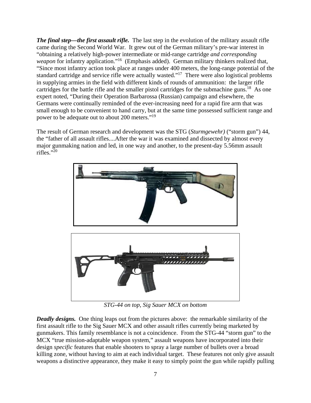*The final step—the first assault rifle.* The last step in the evolution of the military assault rifle came during the Second World War. It grew out of the German military's pre-war interest in "obtaining a relatively high-power intermediate or mid-range cartridge *and corresponding weapon* for infantry application."<sup>16</sup> (Emphasis added). German military thinkers realized that, "Since most infantry action took place at ranges under 400 meters, the long-range potential of the standard cartridge and service rifle were actually wasted."17 There were also logistical problems in supplying armies in the field with different kinds of rounds of ammunition: the larger rifle cartridges for the battle rifle and the smaller pistol cartridges for the submachine guns.<sup>18</sup> As one expert noted, "During their Operation Barbarossa (Russian) campaign and elsewhere, the Germans were continually reminded of the ever-increasing need for a rapid fire arm that was small enough to be convenient to hand carry, but at the same time possessed sufficient range and power to be adequate out to about 200 meters."<sup>19</sup>

The result of German research and development was the STG (*Sturmgewehr)* ("storm gun") 44, the "father of all assault rifles....After the war it was examined and dissected by almost every major gunmaking nation and led, in one way and another, to the present-day 5.56mm assault rifles." $^{20}$ 



*STG-44 on top, Sig Sauer MCX on bottom* 

*Deadly designs.* One thing leaps out from the pictures above: the remarkable similarity of the first assault rifle to the Sig Sauer MCX and other assault rifles currently being marketed by gunmakers. This family resemblance is not a coincidence. From the STG-44 "storm gun" to the MCX "true mission-adaptable weapon system," assault weapons have incorporated into their design *specific* features that enable shooters to spray a large number of bullets over a broad killing zone, without having to aim at each individual target. These features not only give assault weapons a distinctive appearance, they make it easy to simply point the gun while rapidly pulling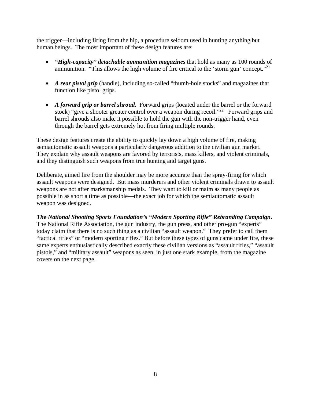the trigger—including firing from the hip, a procedure seldom used in hunting anything but human beings. The most important of these design features are:

- *"High-capacity" detachable ammunition magazines* that hold as many as 100 rounds of ammunition. "This allows the high volume of fire critical to the 'storm gun' concept."<sup>21</sup>
- *A rear pistol grip* (handle), including so-called "thumb-hole stocks" and magazines that function like pistol grips.
- *A forward grip or barrel shroud.* Forward grips (located under the barrel or the forward stock) "give a shooter greater control over a weapon during recoil."<sup>22</sup> Forward grips and barrel shrouds also make it possible to hold the gun with the non-trigger hand, even through the barrel gets extremely hot from firing multiple rounds.

These design features create the ability to quickly lay down a high volume of fire, making semiautomatic assault weapons a particularly dangerous addition to the civilian gun market. They explain why assault weapons are favored by terrorists, mass killers, and violent criminals, and they distinguish such weapons from true hunting and target guns.

Deliberate, aimed fire from the shoulder may be more accurate than the spray-firing for which assault weapons were designed. But mass murderers and other violent criminals drawn to assault weapons are not after marksmanship medals. They want to kill or maim as many people as possible in as short a time as possible—the exact job for which the semiautomatic assault weapon was designed.

*The National Shooting Sports Foundation's "Modern Sporting Rifle" Rebranding Campaign***.**  The National Rifle Association, the gun industry, the gun press, and other pro-gun "experts" today claim that there is no such thing as a civilian "assault weapon." They prefer to call them "tactical rifles" or "modern sporting rifles." But before these types of guns came under fire, these same experts enthusiastically described exactly these civilian versions as "assault rifles," "assault pistols," and "military assault" weapons as seen, in just one stark example, from the magazine covers on the next page.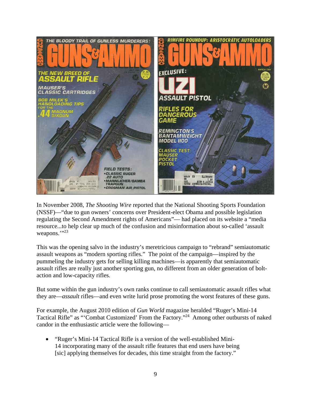

In November 2008, *The Shooting Wire* reported that the National Shooting Sports Foundation (NSSF)—"due to gun owners' concerns over President-elect Obama and possible legislation regulating the Second Amendment rights of Americans"— had placed on its website a "media resource...to help clear up much of the confusion and misinformation about so-called 'assault weapons.">23

This was the opening salvo in the industry's meretricious campaign to "rebrand" semiautomatic assault weapons as "modern sporting rifles." The point of the campaign—inspired by the pummeling the industry gets for selling killing machines—is apparently that semiautomatic assault rifles are really just another sporting gun, no different from an older generation of boltaction and low-capacity rifles.

But some within the gun industry's own ranks continue to call semiautomatic assault rifles what they are—*assault* rifles—and even write lurid prose promoting the worst features of these guns.

For example, the August 2010 edition of *Gun World* magazine heralded "Ruger's Mini-14 Tactical Rifle" as "'Combat Customized' From the Factory."24 Among other outbursts of naked candor in the enthusiastic article were the following—

 "Ruger's Mini-14 Tactical Rifle is a version of the well-established Mini-14 incorporating many of the assault rifle features that end users have being [sic] applying themselves for decades, this time straight from the factory."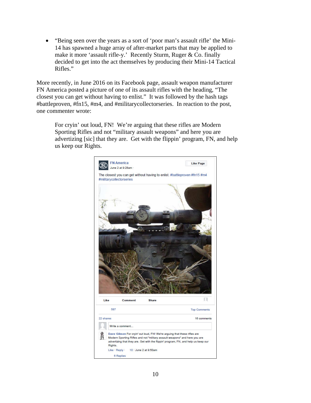"Being seen over the years as a sort of 'poor man's assault rifle' the Mini-14 has spawned a huge array of after-market parts that may be applied to make it more 'assault rifle-y.' Recently Sturm, Ruger & Co. finally decided to get into the act themselves by producing their Mini-14 Tactical Rifles."

More recently, in June 2016 on its Facebook page, assault weapon manufacturer FN America posted a picture of one of its assault rifles with the heading, "The closest you can get without having to enlist." It was followed by the hash tags #battleproven, #fn15, #m4, and #militarycollectorseries. In reaction to the post, one commenter wrote:

For cryin' out loud, FN! We're arguing that these rifles are Modern Sporting Rifles and not "military assault weapons" and here you are advertizing [sic] that they are. Get with the flippin' program, FN, and help us keep our Rights.

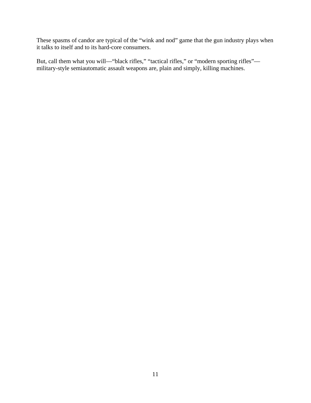These spasms of candor are typical of the "wink and nod" game that the gun industry plays when it talks to itself and to its hard-core consumers.

But, call them what you will—"black rifles," "tactical rifles," or "modern sporting rifles" military-style semiautomatic assault weapons are, plain and simply, killing machines.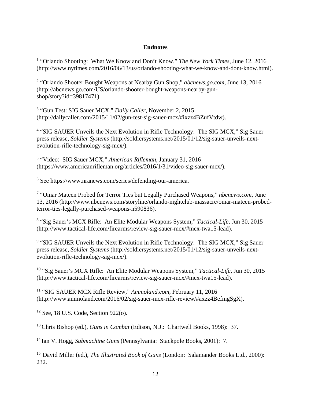## **Endnotes**

<sup>1</sup> "Orlando Shooting: What We Know and Don't Know," The New York Times, June 12, 2016 (http://www.nytimes.com/2016/06/13/us/orlando-shooting-what-we-know-and-dont-know.html).

<sup>2</sup> "Orlando Shooter Bought Weapons at Nearby Gun Shop," *abcnews.go.com*, June 13, 2016 (http://abcnews.go.com/US/orlando-shooter-bought-weapons-nearby-gunshop/story?id=39817471).

3 "Gun Test: SIG Sauer MCX," *Daily Caller*, November 2, 2015 (http://dailycaller.com/2015/11/02/gun-test-sig-sauer-mcx/#ixzz4BZufVtdw).

<sup>4</sup> "SIG SAUER Unveils the Next Evolution in Rifle Technology: The SIG MCX," Sig Sauer press release, *Soldier Systems* (http://soldiersystems.net/2015/01/12/sig-sauer-unveils-nextevolution-rifle-technology-sig-mcx/).

5 "Video: SIG Sauer MCX," *American Rifleman*, January 31, 2016 (https://www.americanrifleman.org/articles/2016/1/31/video-sig-sauer-mcx/).

6 See https://www.nranews.com/series/defending-our-america.

7 "Omar Mateen Probed for Terror Ties but Legally Purchased Weapons," *nbcnews.com*, June 13, 2016 (http://www.nbcnews.com/storyline/orlando-nightclub-massacre/omar-mateen-probedterror-ties-legally-purchased-weapons-n590836).

8 "Sig Sauer's MCX Rifle: An Elite Modular Weapons System," *Tactical-Life*, Jun 30, 2015 (http://www.tactical-life.com/firearms/review-sig-sauer-mcx/#mcx-twa15-lead).

<sup>9</sup> "SIG SAUER Unveils the Next Evolution in Rifle Technology: The SIG MCX," Sig Sauer press release, *Soldier Systems* (http://soldiersystems.net/2015/01/12/sig-sauer-unveils-nextevolution-rifle-technology-sig-mcx/).

10 "Sig Sauer's MCX Rifle: An Elite Modular Weapons System," *Tactical-Life*, Jun 30, 2015 (http://www.tactical-life.com/firearms/review-sig-sauer-mcx/#mcx-twa15-lead).

11 "SIG SAUER MCX Rifle Review," *Ammoland.com*, February 11, 2016 (http://www.ammoland.com/2016/02/sig-sauer-mcx-rifle-review/#axzz4BefmgSgX).

12 See, 18 U.S. Code, Section 922(o).

 $\overline{a}$ 

13 Chris Bishop (ed.), *Guns in Combat* (Edison, N.J.: Chartwell Books, 1998): 37.

14 Ian V. Hogg, *Submachine Guns* (Pennsylvania: Stackpole Books, 2001): 7.

15 David Miller (ed.), *The Illustrated Book of Guns* (London: Salamander Books Ltd., 2000): 232.